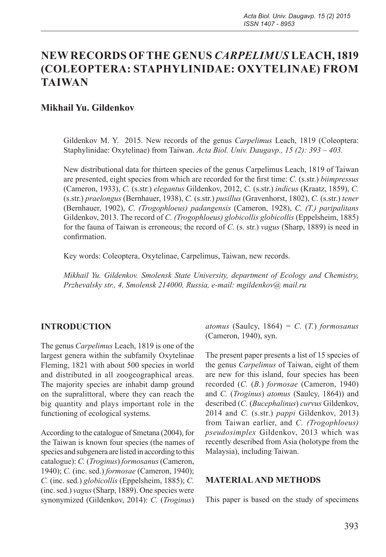# **NEW RECORDS OF THE GENUS** *CARPELIMUS* **LEACH, 1819 (COLEOPTERA: STAPHYLINIDAE: OXYTELINAE) FROM TAIWAN**

# **Mikhail Yu. Gildenkov**

Gildenkov M. Y. 2015. New records of the genus *Carpelimus* Leach, 1819 (Coleoptera: Staphylinidae: Oxytelinae) from Taiwan. *Acta Biol. Univ. Daugavp., 15 (2): 393 – 403.*

New distributional data for thirteen species of the genus Carpelimus Leach, 1819 of Taiwan are presented, eight species from which are recorded for the first time: *C.* (s.str.) *biimpressus*  (Cameron, 1933), *C.* (s.str.) *elegantus* Gildenkov, 2012, *C.* (s.str.) *indicus* (Kraatz, 1859), *C.*  (s.str.) *praelongus* (Bernhauer, 1938), *C.* (s.str.) *pusillus* (Gravenhorst, 1802), *C.* (s.str.) *tener*  (Bernhauer, 1902), *C. (Trogophloeus) padangensis* (Cameron, 1928), *C. (T.) paripalitans*  Gildenkov, 2013. The record of *C. (Trogophloeus) globicollis globicollis* (Eppelsheim, 1885) for the fauna of Taiwan is erroneous; the record of *C.* (s. str.) *vagus* (Sharp, 1889) is need in confirmation.

Key words: Coleoptera, Oxytelinae, Carpelimus, Taiwan, new records.

*Mikhail Yu. Gildenkov. Smolensk State University, department of Ecology and Chemistry, Przhevalsky str., 4, Smolensk 214000, Russia, e-mail: mgildenkov@ mail.ru*

#### **INTRODUCTION**

The genus *Carpelimus* Leach, 1819 is one of the largest genera within the subfamily Oxytelinae Fleming, 1821 with about 500 species in world and distributed in all zoogeographical areas. The majority species are inhabit damp ground on the supralittoral, where they can reach the big quantity and plays important role in the functioning of ecological systems.

According to the catalogue of Smetana (2004), for the Taiwan is known four species (the names of species and subgenera are listed in according to this catalogue): *C.* (*Troginus*) *formosanus* (Cameron, 1940); *C.* (inc. sed.) *formosae* (Cameron, 1940); *C.* (inc. sed.) *globicollis* (Eppelsheim, 1885); *C.*  (inc. sed.) *vagus* (Sharp, 1889). One species were synonymized (Gildenkov, 2014): *C.* (*Troginus*) *atomus* (Saulcy, 1864) *= C.* (*T.*) *formosanus* (Cameron, 1940), syn.

The present paper presents a list of 15 species of the genus *Carpelimus* of Taiwan, eight of them are new for this island, four species has been recorded (*C.* (*B.*) *formosae* (Cameron, 1940) and *C.* (*Troginus*) *atomus* (Saulcy, 1864)) and described (*C.* (*Bucephalinus*) *curvus* Gildenkov, 2014 and *C.* (s.str.) *pappi* Gildenkov, 2013) from Taiwan earlier, and *C. (Trogophloeus) pseudosimplex* Gildenkov, 2013 which was recently described from Asia (holotype from the Malaysia), including Taiwan.

#### **MATERIAL AND METHODS**

This paper is based on the study of specimens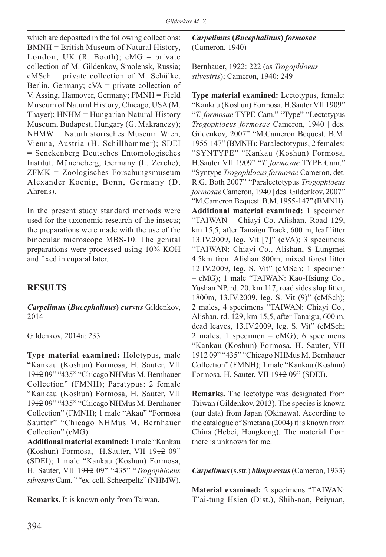which are deposited in the following collections: BMNH = British Museum of Natural History, London, UK (R. Booth);  $cMG = private$ collection of M. Gildenkov, Smolensk, Russia; cMSch = private collection of M. Schülke, Berlin, Germany; cVA = private collection of V. Assing, Hannover, Germany; FMNH = Field Museum of Natural History, Chicago, USA (M. Thayer); HNHM = Hungarian Natural History Museum, Budapest, Hungary (G. Makranczy); NHMW = Naturhistorisches Museum Wien, Vienna, Austria (H. Schillhammer); SDEI = Senckenberg Deutsches Entomologisches Institut, Müncheberg, Germany (L. Zerche); ZFMK = Zoologisches Forschungsmuseum Alexander Koenig, Bonn, Germany (D. Ahrens).

In the present study standard methods were used for the taxonomic research of the insects; the preparations were made with the use of the binocular microscope MBS-10. The genital preparations were processed using 10% KOH and fixed in euparal later.

# **RESULTS**

*Carpelimus* **(***Bucephalinus***)** *curvus* Gildenkov, 2014

Gildenkov, 2014a: 233

**Type material examined:** Holotypus, male "Kankau (Koshun) Formosa, H. Sauter, VII 1912 09" "435" "Chicago NHMus M. Bernhauer Collection" (FMNH); Paratypus: 2 female "Kankau (Koshun) Formosa, H. Sauter, VII 1912 09" "435" "Chicago NHMus M. Bernhauer Collection" (FMNH); 1 male "Akau" "Formosa Sautter" "Chicago NHMus M. Bernhauer Collection" (cMG).

**Additional material examined:** 1 male "Kankau (Koshun) Formosa, H.Sauter, VII 1912 09" (SDEI); 1 male "Kankau (Koshun) Formosa, H. Sauter, VII 1912 09" "435" "*Trogophloeus silvestris* Cam. " "ex. coll. Scheerpeltz" (NHMW).

**Remarks.** It is known only from Taiwan.

*Carpelimus* **(***Bucephalinus***)** *formosae* (Cameron, 1940)

Bernhauer, 1922: 222 (as *Trogophloeus silvestris*); Cameron, 1940: 249

**Type material examined:** Lectotypus, female: "Kankau (Koshun) Formosa, H.Sauter VII 1909" "*T. formosae* TYPE Cam." "Type" "Lectotypus *Trogophloeus formosae* Cameron, 1940 | des. Gildenkov, 2007" "M.Cameron Bequest. B.M. 1955-147" (BMNH); Paralectotypus, 2 females: "SYNTYPE" "Kankau (Koshun) Formosa, H.Sauter VII 1909" "*T. formosae* TYPE Cam." "Syntype *Trogophloeus formosae* Cameron, det. R.G. Both 2007" "Paralectotypus *Trogophloeus formosae* Cameron, 1940 **|** des. Gildenkov, 2007" "M.Cameron Bequest. B.M. 1955-147" (BMNH). **Additional material examined:** 1 specimen "TAIWAN – Chiayi Co. Alishan, Road 129, km 15,5, after Tanaigu Track, 600 m, leaf litter 13.IV.2009, leg. Vit [7]" (cVA); 3 specimens "TAIWAN: Chiayi Co., Alishan, S Lungmei 4.5km from Alishan 800m, mixed forest litter 12.IV.2009, leg. S. Vit" (cMSch; 1 specimen – cMG); 1 male "TAIWAN: Kao-Hsiung Co., Yushan NP, rd. 20, km 117, road sides slop litter, 1800m, 13.IV.2009, leg. S. Vit (9)" (cMSch); 2 males, 4 specimens "TAIWAN: Chiayi Co., Alishan, rd. 129, km 15,5, after Tanaigu, 600 m, dead leaves, 13.IV.2009, leg. S. Vit" (cMSch; 2 males, 1 specimen – cMG); 6 specimens "Kankau (Koshun) Formosa, H. Sauter, VII 1912 09" "435" "Chicago NHMus M. Bernhauer Collection" (FMNH); 1 male "Kankau (Koshun) Formosa, H. Sauter, VII 1912 09" (SDEI).

**Remarks.** The lectotype was designated from Taiwan (Gildenkov, 2013). The species is known (our data) from Japan (Okinawa). According to the catalogue of Smetana (2004) it is known from China (Hebei, Hongkong). The material from there is unknown for me.

*Carpelimus*(s.str.) *biimpressus* (Cameron, 1933)

**Material examined:** 2 specimens "TAIWAN: T'ai-tung Hsien (Dist.), Shih-nan, Peiyuan,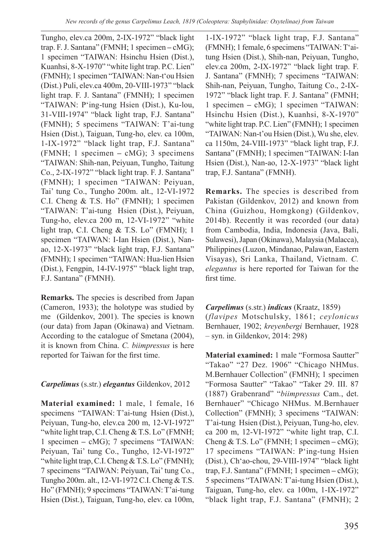Tungho, elev.ca 200m, 2-IX-1972" "black light trap. F. J. Santana" (FMNH; 1 specimen **–** cMG); 1 specimen "TAIWAN: Hsinchu Hsien (Dist.), Kuanhsi, 8-X-1970" "white light trap. P.C. Lien" (FMNH); 1 specimen "TAIWAN: Nan-t'ou Hsien (Dist.) Puli, elev.ca 400m, 20-VIII-1973" "black light trap. F. J. Santana" (FMNH); 1 specimen "TAIWAN: P'ing-tung Hsien (Dist.), Ku-lou, 31-VIII-1974" "black light trap, F.J. Santana" (FMNH); 5 specimens "TAIWAN: T'ai-tung Hsien (Dist.), Taiguan, Tung-ho, elev. ca 100m, 1-IX-1972" "black light trap, F.J. Santana" (FMNH; 1 specimen **–** cMG); 3 specimens "TAIWAN: Shih-nan, Peiyuan, Tungho, Taitung Co., 2-IX-1972" "black light trap. F. J. Santana" (FMNH); 1 specimen "TAIWAN: Peiyuan, Tai' tung Co., Tungho 200m. alt., 12-VI-1972 C.I. Cheng & T.S. Ho" (FMNH); 1 specimen "TAIWAN: T'ai-tung Hsien (Dist.), Peiyuan, Tung-ho, elev.ca 200 m, 12-VI-1972" "white light trap, C.I. Cheng & T.S. Lo" (FMNH); 1 specimen "TAIWAN: I-Ian Hsien (Dist.), Nanao, 12-X-1973" "black light trap, F.J. Santana" (FMNH); 1 specimen "TAIWAN: Hua-lien Hsien (Dist.), Fengpin, 14-IV-1975" "black light trap, F.J. Santana" (FMNH).

**Remarks.** The species is described from Japan (Cameron, 1933); the holotype was studied by me (Gildenkov, 2001). The species is known (our data) from Japan (Okinawa) and Vietnam. According to the catalogue of Smetana (2004), it is known from China. *C. biimpressus* is here reported for Taiwan for the first time.

#### *Carpelimus* (s.str.) *elegantus* Gildenkov, 2012

**Material examined:** 1 male, 1 female, 16 specimens "TAIWAN: T'ai-tung Hsien (Dist.), Peiyuan, Tung-ho, elev.ca 200 m, 12-VI-1972" "white light trap, C.I. Cheng & T.S. Lo" (FMNH; 1 specimen **–** cMG); 7 specimens "TAIWAN: Peiyuan, Tai' tung Co., Tungho, 12-VI-1972" "white light trap, C.I. Cheng & T.S. Lo" (FMNH); 7 specimens "TAIWAN: Peiyuan, Tai' tung Co., Tungho 200m. alt., 12-VI-1972 C.I. Cheng & T.S. Ho" (FMNH); 9 specimens "TAIWAN: T'ai-tung Hsien (Dist.), Taiguan, Tung-ho, elev. ca 100m,

1-IX-1972" "black light trap, F.J. Santana" (FMNH); 1 female, 6 specimens "TAIWAN: T'aitung Hsien (Dist.), Shih-nan, Peiyuan, Tungho, elev.ca 200m, 2-IX-1972" "black light trap. F. J. Santana" (FMNH); 7 specimens "TAIWAN: Shih-nan, Peiyuan, Tungho, Taitung Co., 2-IX-1972" "black light trap. F. J. Santana" (FMNH; 1 specimen **–** cMG); 1 specimen "TAIWAN: Hsinchu Hsien (Dist.), Kuanhsi, 8-X-1970" "white light trap. P.C. Lien" (FMNH); 1 specimen "TAIWAN: Nan-t'ou Hsien (Dist.), Wu she, elev. ca 1150m, 24-VIII-1973" "black light trap, F.J. Santana" (FMNH); 1 specimen "TAIWAN: I-Ian Hsien (Dist.), Nan-ao, 12-X-1973" "black light trap, F.J. Santana" (FMNH).

**Remarks.** The species is described from Pakistan (Gildenkov, 2012) and known from China (Guizhou, Homgkong) (Gildenkov, 2014b). Recently it was recorded (our data) from Cambodia, India, Indonesia (Java, Bali, Sulawesi), Japan (Okinawa), Malaysia (Malacca), Philippines (Luzon, Mindanao, Palawan, Eastern Visayas), Sri Lanka, Thailand, Vietnam. *C. elegantus* is here reported for Taiwan for the first time.

#### *Carpelimus* (s.str.) *indicus* (Kraatz, 1859)

(*flavipes* Motschulsky, 1861; *ceylonicus* Bernhauer, 1902; *kreyenbergi* Bernhauer, 1928 – syn. in Gildenkov, 2014: 298)

**Material examined:** 1 male "Formosa Sautter" "Takao" "27 Dez. 1906" "Chicago NHMus. M.Bernhauer Collection" (FMNH); 1 specimen "Formosa Sautter" "Takao" "Taker 29. III. 87 (1887) Grabenrand" "*biimpressus* Cam., det. Bernhauer" "Chicago NHMus. M.Bernhauer Collection" (FMNH); 3 specimens "TAIWAN: T'ai-tung Hsien (Dist.), Peiyuan, Tung-ho, elev. ca 200 m, 12-VI-1972" "white light trap, C.I. Cheng & T.S. Lo" (FMNH; 1 specimen **–** cMG); 17 specimens "TAIWAN: P'ing-tung Hsien (Dist.), Ch'ao-chou, 29-VIII-1974" "black light trap, F.J. Santana" (FMNH; 1 specimen **–** cMG); 5 specimens "TAIWAN: T'ai-tung Hsien (Dist.), Taiguan, Tung-ho, elev. ca 100m, 1-IX-1972" "black light trap, F.J. Santana" (FMNH); 2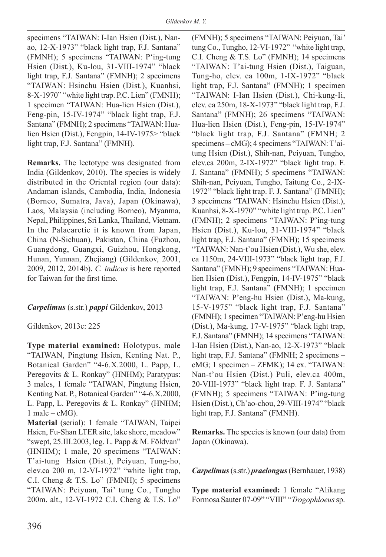specimens "TAIWAN: I-Ian Hsien (Dist.), Nanao, 12-X-1973" "black light trap, F.J. Santana" (FMNH); 5 specimens "TAIWAN: P'ing-tung Hsien (Dist.), Ku-lou, 31-VIII-1974" "black light trap, F.J. Santana" (FMNH); 2 specimens "TAIWAN: Hsinchu Hsien (Dist.), Kuanhsi, 8-X-1970" "white light trap. P.C. Lien" (FMNH); 1 specimen "TAIWAN: Hua-lien Hsien (Dist.), Feng-pin, 15-IV-1974" "black light trap, F.J. Santana" (FMNH); 2 specimens "TAIWAN: Hualien Hsien (Dist.), Fengpin, 14-IV-1975> "black light trap, F.J. Santana" (FMNH).

**Remarks.** The lectotype was designated from India (Gildenkov, 2010). The species is widely distributed in the Oriental region (our data): Andaman islands, Cambodia, India, Indonesia (Borneo, Sumatra, Java), Japan (Okinawa), Laos, Malaysia (including Borneo), Myanma, Nepal, Philippines, Sri Lanka, Thailand, Vietnam. In the Palaearctic it is known from Japan, China (N-Sichuan), Pakistan, China (Fuzhou, Guangdong, Guangxi, Guizhou, Hongkong, Hunan, Yunnan, Zhejiang) (Gildenkov, 2001, 2009, 2012, 2014b). *C. indicus* is here reported for Taiwan for the first time.

#### *Carpelimus* (s.str.) *pappi* Gildenkov, 2013

Gildenkov, 2013c: 225

**Type material examined:** Holotypus, male "TAIWAN, Pingtung Hsien, Kenting Nat. P., Botanical Garden" "4-6.X.2000, L. Papp, L. Peregovits & L. Ronkay" (HNHM); Paratypus: 3 males, 1 female "TAIWAN, Pingtung Hsien, Kenting Nat. P., Botanical Garden" "4-6.X.2000, L. Papp, L. Peregovits & L. Ronkay" (HNHM;  $1$  male –  $cMG$ ).

**Material** (serial): 1 female "TAIWAN, Taipei Hsien, Fu-Shan LTER site, lake shore, meadow" "swept, 25.III.2003, leg. L. Papp & M. Földvan" (HNHM); 1 male, 20 specimens "TAIWAN: T'ai-tung Hsien (Dist.), Peiyuan, Tung-ho, elev.ca 200 m, 12-VI-1972" "white light trap, C.I. Cheng & T.S. Lo" (FMNH); 5 specimens "TAIWAN: Peiyuan, Tai' tung Co., Tungho 200m. alt., 12-VI-1972 C.I. Cheng & T.S. Lo" (FMNH); 5 specimens "TAIWAN: Peiyuan, Tai' tung Co., Tungho, 12-VI-1972" "white light trap, C.I. Cheng & T.S. Lo" (FMNH); 14 specimens "TAIWAN: T'ai-tung Hsien (Dist.), Taiguan, Tung-ho, elev. ca 100m, 1-IX-1972" "black light trap, F.J. Santana" (FMNH); 1 specimen "TAIWAN: I-Ian Hsien (Dist.), Chi-kung-Ii, elev. ca 250m, 18-X-1973" "black light trap, F.J. Santana" (FMNH); 26 specimens "TAIWAN: Hua-lien Hsien (Dist.), Feng-pin, 15-IV-1974" "black light trap, F.J. Santana" (FMNH; 2 specimens **–** cMG); 4 specimens "TAIWAN: T'aitung Hsien (Dist.), Shih-nan, Peiyuan, Tungho, elev.ca 200m, 2-IX-1972" "black light trap. F. J. Santana" (FMNH); 5 specimens "TAIWAN: Shih-nan, Peiyuan, Tungho, Taitung Co., 2-IX-1972" "black light trap. F. J. Santana" (FMNH); 3 specimens "TAIWAN: Hsinchu Hsien (Dist.), Kuanhsi, 8-X-1970" "white light trap. P.C. Lien" (FMNH); 2 specimens "TAIWAN: P'ing-tung Hsien (Dist.), Ku-lou, 31-VIII-1974" "black light trap, F.J. Santana" (FMNH); 15 specimens "TAIWAN: Nan-t'ou Hsien (Dist.), Wu she, elev. ca 1150m, 24-VIII-1973" "black light trap, F.J. Santana" (FMNH); 9 specimens "TAIWAN: Hualien Hsien (Dist.), Fengpin, 14-IV-1975" "black light trap, F.J. Santana" (FMNH); 1 specimen "TAIWAN: P'eng-hu Hsien (Dist.), Ma-kung, 15-V-1975" "black light trap, F.J. Santana" (FMNH); 1 specimen "TAIWAN: P'eng-hu Hsien (Dist.), Ma-kung, 17-V-1975" "black light trap, F.J. Santana" (FMNH); 14 specimens "TAIWAN: I-Ian Hsien (Dist.), Nan-ao, 12-X-1973" "black light trap, F.J. Santana" (FMNH; 2 specimens **–** cMG; 1 specimen – ZFMK); 14 ex. "TAIWAN: Nan-t'ou Hsien (Dist.) Puli, elev.ca 400m, 20-VIII-1973" "black light trap. F. J. Santana" (FMNH); 5 specimens "TAIWAN: P'ing-tung Hsien (Dist.), Ch'ao-chou, 29-VIII-1974" "black light trap, F.J. Santana" (FMNH).

**Remarks.** The species is known (our data) from Japan (Okinawa).

*Carpelimus*(s.str.) *praelongus* (Bernhauer, 1938)

**Type material examined:** 1 female "Alikang Formosa Sauter 07-09" "VIII" "*Trogophloeus* sp.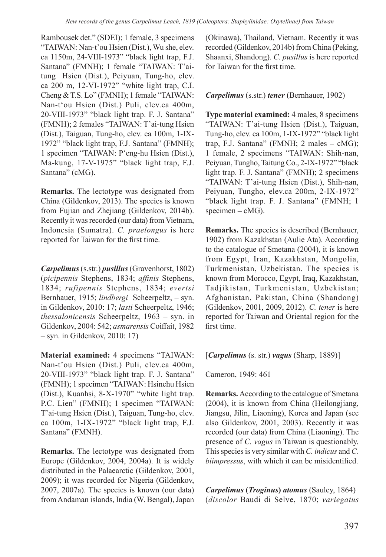Rambousek det." (SDEI); 1 female, 3 specimens "TAIWAN: Nan-t'ou Hsien (Dist.), Wu she, elev. ca 1150m, 24-VIII-1973" "black light trap, F.J. Santana" (FMNH); 1 female "TAIWAN: T'aitung Hsien (Dist.), Peiyuan, Tung-ho, elev. ca 200 m, 12-VI-1972" "white light trap, C.I. Cheng & T.S. Lo" (FMNH); 1 female "TAIWAN: Nan-t'ou Hsien (Dist.) Puli, elev.ca 400m, 20-VIII-1973" "black light trap. F. J. Santana" (FMNH); 2 females "TAIWAN: T'ai-tung Hsien (Dist.), Taiguan, Tung-ho, elev. ca 100m, 1-IX-1972" "black light trap, F.J. Santana" (FMNH); 1 specimen "TAIWAN: P'eng-hu Hsien (Dist.), Ma-kung, 17-V-1975" "black light trap, F.J. Santana" (cMG).

**Remarks.** The lectotype was designated from China (Gildenkov, 2013). The species is known from Fujian and Zhejiang (Gildenkov, 2014b). Recently it was recorded (our data) from Vietnam, Indonesia (Sumatra). *C. praelongus* is here reported for Taiwan for the first time.

*Carpelimus*(s.str.) *pusillus*(Gravenhorst, 1802) (*picipennis* Stephens, 1834; *affinis* Stephens, 1834; *rufipennis* Stephens, 1834; *evertsi* Bernhauer, 1915; *lindbergi* Scheerpeltz, – syn. in Gildenkov, 2010: 17; *lasti* Scheerpeltz, 1946; *thessalonicensis* Scheerpeltz, 1963 – syn. in Gildenkov, 2004: 542; *asmarensis* Coiffait, 1982 – syn. in Gildenkov, 2010: 17)

**Material examined:** 4 specimens "TAIWAN: Nan-t'ou Hsien (Dist.) Puli, elev.ca 400m, 20-VIII-1973" "black light trap. F. J. Santana" (FMNH); 1 specimen "TAIWAN: Hsinchu Hsien (Dist.), Kuanhsi, 8-X-1970" "white light trap. P.C. Lien" (FMNH); 1 specimen "TAIWAN: T'ai-tung Hsien (Dist.), Taiguan, Tung-ho, elev. ca 100m, 1-IX-1972" "black light trap, F.J. Santana" (FMNH).

**Remarks.** The lectotype was designated from Europe (Gildenkov, 2004, 2004a). It is widely distributed in the Palaearctic (Gildenkov, 2001, 2009); it was recorded for Nigeria (Gildenkov, 2007, 2007a). The species is known (our data) from Andaman islands, India (W. Bengal), Japan (Okinawa), Thailand, Vietnam. Recently it was recorded (Gildenkov, 2014b) from China (Peking, Shaanxi, Shandong). *C. pusillus* is here reported for Taiwan for the first time.

#### *Carpelimus* (s.str.) *tener* (Bernhauer, 1902)

**Type material examined:** 4 males, 8 specimens "TAIWAN: T'ai-tung Hsien (Dist.), Taiguan, Tung-ho, elev. ca 100m, 1-IX-1972" "black light trap, F.J. Santana" (FMNH; 2 males **–** cMG); 1 female, 2 specimens "TAIWAN: Shih-nan, Peiyuan, Tungho, Taitung Co., 2-IX-1972" "black light trap. F. J. Santana" (FMNH); 2 specimens "TAIWAN: T'ai-tung Hsien (Dist.), Shih-nan, Peiyuan, Tungho, elev.ca 200m, 2-IX-1972" "black light trap. F. J. Santana" (FMNH; 1 specimen – cMG).

**Remarks.** The species is described (Bernhauer, 1902) from Kazakhstan (Aulie Ata). According to the catalogue of Smetana (2004), it is known from Egypt, Iran, Kazakhstan, Mongolia, Turkmenistan, Uzbekistan. The species is known from Morocco, Egypt, Iraq, Kazakhstan, Tadjikistan, Turkmenistan, Uzbekistan; Afghanistan, Pakistan, China (Shandong) (Gildenkov, 2001, 2009, 2012). *C. tener* is here reported for Taiwan and Oriental region for the first time.

[*Carpelimus* (s. str.) *vagus* (Sharp, 1889)]

Cameron, 1949: 461

**Remarks.** According to the catalogue of Smetana (2004), it is known from China (Heilongjiang, Jiangsu, Jilin, Liaoning), Korea and Japan (see also Gildenkov, 2001, 2003). Recently it was recorded (our data) from China (Liaoning). The presence of *C. vagus* in Taiwan is questionably. This species is very similar with *C. indicus* and *C. biimpressus*, with which it can be misidentified.

*Carpelimus* **(***Troginus***)** *atomus* (Saulcy, 1864) (*discolor* Baudi di Selve, 1870; *variegatus*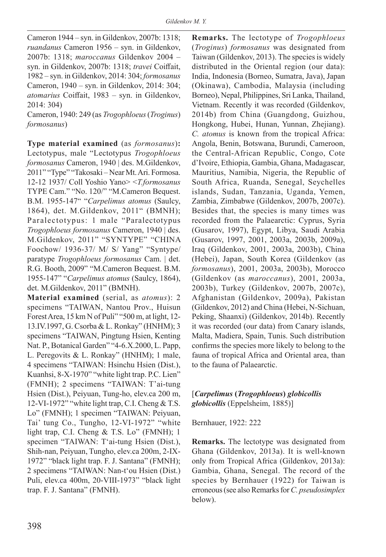Cameron 1944 – syn. in Gildenkov, 2007b: 1318; *ruandanus* Cameron 1956 – syn. in Gildenkov, 2007b: 1318; *maroccanus* Gildenkov 2004 – syn. in Gildenkov, 2007b: 1318; *travei* Coiffait, 1982 – syn. in Gildenkov, 2014: 304; *formosanus* Cameron, 1940 – syn. in Gildenkov, 2014: 304; *atomarius* Coiffait, 1983 – syn. in Gildenkov, 2014: 304)

Cameron, 1940: 249 (as *Trogophloeus* (*Troginus*) *formosanus*)

**Type material examined** (as *formosanus*)**:** Lectotypus, male "Lectotypus *Trogophloeus formosanus* Cameron, 1940 | des. M.Gildenkov, 2011" "Type" "Takosaki – Near Mt. Ari. Formosa. 12-12 1937/ Coll Yoshio Yano> <*T.formosanus* TYPE Cam." "No. 120/" "M.Cameron Bequest. B.M. 1955-147" "*Carpelimus atomus* (Saulcy, 1864), det. M.Gildenkov, 2011" (BMNH); Paralectotypus: 1 male "Paralectotypus *Trogophloeus formosanus* Cameron, 1940 | des. M.Gildenkov, 2011" "SYNTYPE" "CHINA Foochow/ 1936-37/ M/ S/ Yang" "Syntype/ paratype *Trogophloeus formosanus* Cam. | det. R.G. Booth, 2009" "M.Cameron Bequest. B.M. 1955-147" "*Carpelimus atomus* (Saulcy, 1864), det. M.Gildenkov, 2011" (BMNH).

**Material examined** (serial, as *atomus*): 2 specimens "TAIWAN, Nantou Prov., Huisun Forest Area, 15 km N of Puli" "500 m, at light, 12- 13.IV.1997, G. Csorba & L. Ronkay" (HNHM); 3 specimens "TAIWAN, Pingtung Hsien, Kenting Nat. P., Botanical Garden" "4-6.X.2000, L. Papp, L. Peregovits & L. Ronkay" (HNHM); 1 male, 4 specimens "TAIWAN: Hsinchu Hsien (Dist.), Kuanhsi, 8-X-1970" "white light trap. P.C. Lien" (FMNH); 2 specimens "TAIWAN: T'ai-tung Hsien (Dist.), Peiyuan, Tung-ho, elev.ca 200 m, 12-VI-1972" "white light trap, C.I. Cheng & T.S. Lo" (FMNH); 1 specimen "TAIWAN: Peiyuan, Tai' tung Co., Tungho, 12-VI-1972" "white light trap, C.I. Cheng & T.S. Lo" (FMNH); 1 specimen "TAIWAN: T'ai-tung Hsien (Dist.), Shih-nan, Peiyuan, Tungho, elev.ca 200m, 2-IX-1972" "black light trap. F. J. Santana" (FMNH); 2 specimens "TAIWAN: Nan-t'ou Hsien (Dist.) Puli, elev.ca 400m, 20-VIII-1973" "black light trap. F. J. Santana" (FMNH).

**Remarks.** The lectotype of *Trogophloeus* (*Troginus*) *formosanus* was designated from Taiwan (Gildenkov, 2013). The species is widely distributed in the Oriental region (our data): India, Indonesia (Borneo, Sumatra, Java), Japan (Okinawa), Cambodia, Malaysia (including Borneo), Nepal, Philippines, Sri Lanka, Thailand, Vietnam. Recently it was recorded (Gildenkov, 2014b) from China (Guangdong, Guizhou, Hongkong, Hubei, Hunan, Yunnan, Zhejiang). *C. atomus* is known from the tropical Africa: Angola, Benin, Botswana, Burundi, Cameroon, the Central-African Republic, Congo, Cote d'Ivoire, Ethiopia, Gambia, Ghana, Madagascar, Mauritius, Namibia, Nigeria, the Republic of South Africa, Ruanda, Senegal, Seychelles islands, Sudan, Tanzania, Uganda, Yemen, Zambia, Zimbabwe (Gildenkov, 2007b, 2007c). Besides that, the species is many times was recorded from the Palaearctic: Cyprus, Syria (Gusarov, 1997), Egypt, Libya, Saudi Arabia (Gusarov, 1997, 2001, 2003a, 2003b, 2009a), Iraq (Gildenkov, 2001, 2003a, 2003b), China (Hebei), Japan, South Korea (Gildenkov (as *formosanus*), 2001, 2003a, 2003b), Morocco (Gildenkov (as *maroccanus*), 2001, 2003a, 2003b), Turkey (Gildenkov, 2007b, 2007c), Afghanistan (Gildenkov, 2009a), Pakistan (Gildenkov, 2012) and China (Hebei, N-Sichuan, Peking, Shaanxi) (Gildenkov, 2014b). Recently it was recorded (our data) from Canary islands, Malta, Madiera, Spain, Tunis. Such distribution confirms the species more likely to belong to the fauna of tropical Africa and Oriental area, than to the fauna of Palaearctic.

### [*Carpelimus* **(***Trogophloeus***)** *globicollis globicollis* (Eppelsheim, 1885)]

Bernhauer, 1922: 222

**Remarks.** The lectotype was designated from Ghana (Gildenkov, 2013a). It is well-known only from Tropical Africa (Gildenkov, 2013a): Gambia, Ghana, Senegal. The record of the species by Bernhauer (1922) for Taiwan is erroneous (see also Remarks for *C. pseudosimplex* below).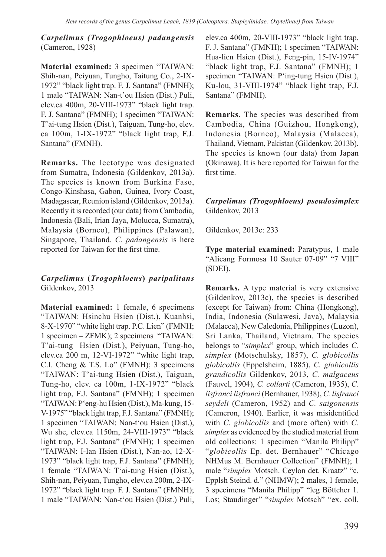*Carpelimus (Trogophloeus) padangensis* (Cameron, 1928)

**Material examined:** 3 specimen "TAIWAN: Shih-nan, Peiyuan, Tungho, Taitung Co., 2-IX-1972" "black light trap. F. J. Santana" (FMNH); 1 male "TAIWAN: Nan-t'ou Hsien (Dist.) Puli, elev.ca 400m, 20-VIII-1973" "black light trap. F. J. Santana" (FMNH); 1 specimen "TAIWAN: T'ai-tung Hsien (Dist.), Taiguan, Tung-ho, elev. ca 100m, 1-IX-1972" "black light trap, F.J. Santana" (FMNH).

**Remarks.** The lectotype was designated from Sumatra, Indonesia (Gildenkov, 2013a). The species is known from Burkina Faso, Congo-Kinshasa, Gabon, Guinea, Ivory Coast, Madagascar, Reunion island (Gildenkov, 2013a). Recently it is recorded (our data) from Cambodia, Indonesia (Bali, Irian Jaya, Molucca, Sumatra), Malaysia (Borneo), Philippines (Palawan), Singapore, Thailand. *C. padangensis* is here reported for Taiwan for the first time.

### *Carpelimus* **(***Trogophloeus***)** *paripalitans* Gildenkov, 2013

**Material examined:** 1 female, 6 specimens "TAIWAN: Hsinchu Hsien (Dist.), Kuanhsi, 8-X-1970" "white light trap. P.C. Lien" (FMNH; 1 specimen **–** ZFMK); 2 specimens "TAIWAN: T'ai-tung Hsien (Dist.), Peiyuan, Tung-ho, elev.ca 200 m, 12-VI-1972" "white light trap, C.I. Cheng & T.S. Lo" (FMNH); 3 specimens "TAIWAN: T'ai-tung Hsien (Dist.), Taiguan, Tung-ho, elev. ca 100m, 1-IX-1972" "black light trap, F.J. Santana" (FMNH); 1 specimen "TAIWAN: P'eng-hu Hsien (Dist.), Ma-kung, 15- V-1975" "black light trap, F.J. Santana" (FMNH); 1 specimen "TAIWAN: Nan-t'ou Hsien (Dist.), Wu she, elev.ca 1150m, 24-VIII-1973" "black light trap, F.J. Santana" (FMNH); 1 specimen "TAIWAN: I-Ian Hsien (Dist.), Nan-ao, 12-X-1973" "black light trap, F.J. Santana" (FMNH); 1 female "TAIWAN: T'ai-tung Hsien (Dist.), Shih-nan, Peiyuan, Tungho, elev.ca 200m, 2-IX-1972" "black light trap. F. J. Santana" (FMNH); 1 male "TAIWAN: Nan-t'ou Hsien (Dist.) Puli,

elev.ca 400m, 20-VIII-1973" "black light trap. F. J. Santana" (FMNH); 1 specimen "TAIWAN: Hua-lien Hsien (Dist.), Feng-pin, 15-IV-1974" "black light trap, F.J. Santana" (FMNH); 1 specimen "TAIWAN: P'ing-tung Hsien (Dist.), Ku-lou, 31-VIII-1974" "black light trap, F.J. Santana" (FMNH).

**Remarks.** The species was described from Cambodia, China (Guizhou, Hongkong), Indonesia (Borneo), Malaysia (Malacca), Thailand, Vietnam, Pakistan (Gildenkov, 2013b). The species is known (our data) from Japan (Okinawa). It is here reported for Taiwan for the first time.

#### *Carpelimus (Trogophloeus) pseudosimplex*  Gildenkov, 2013

Gildenkov, 2013c: 233

**Type material examined:** Paratypus, 1 male "Alicang Formosa 10 Sauter 07-09" "7 VIII" (SDEI).

**Remarks.** A type material is very extensive (Gildenkov, 2013c), the species is described (except for Taiwan) from: China (Hongkong), India, Indonesia (Sulawesi, Java), Malaysia (Malacca), New Caledonia, Philippines (Luzon), Sri Lanka, Thailand, Vietnam. The species belongs to "*simplex*" group, which includes *C. simplex* (Motschulsky, 1857), *C. globicollis globicollis* (Eppelsheim, 1885), *C. globicollis grandicollis* Gildenkov, 2013, *C. malgaceus* (Fauvel, 1904), *C. collarti* (Cameron, 1935), *C. lisfranci lisfranci* (Bernhauer, 1938), *C. lisfranci seydeli* (Cameron, 1952) and *C. saigonensis* (Cameron, 1940). Earlier, it was misidentified with *C. globicollis* and (more often) with *C. simplex* as evidenced by the studied material from old collections: 1 specimen "Manila Philipp" "*globicollis* Ep. det. Bernhauer" "Chicago NHMus M. Bernhauer Collection" (FMNH); 1 male "*simplex* Motsch. Ceylon det. Kraatz" "c. Epplsh Steind. d." (NHMW); 2 males, 1 female, 3 specimens "Manila Philipp" "leg Böttcher 1. Los; Staudinger" "*simplex* Motsch" "ex. coll.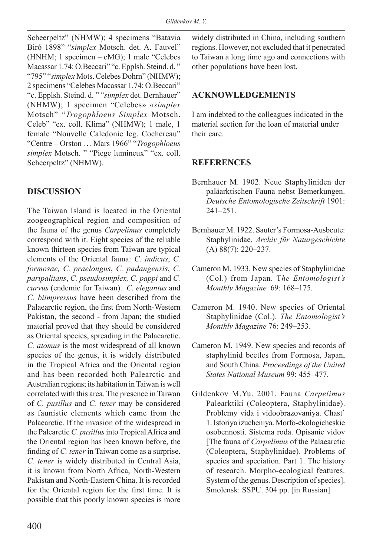Scheerpeltz" (NHMW); 4 specimens "Batavia Biró 1898" "*simplex* Motsch. det. A. Fauvel" (HNHM; 1 specimen – cMG); 1 male "Celebes Macassar 1.74: O.Beccari" "c. Epplsh. Steind. d. " "795" "*simplex* Mots. Celebes Dohrn" (NHMW); 2 specimens "Celebes Macassar 1.74: O.Beccari" "c. Epplsh. Steind. d. " "*simplex* det. Bernhauer" (NHMW); 1 specimen "Celebes» «*simplex* Motsch" "*Trogophloeus Simplex* Motsch. Celeb" "ex. coll. Klima" (NHMW); 1 male, 1 female "Nouvelle Caledonie leg. Cochereau" "Centre – Orston … Mars 1966" "*Trogophloeus simplex* Motsch. " "Piege lumineux" "ex. coll. Scheerpeltz" (NHMW).

# **DISCUSSION**

The Taiwan Island is located in the Oriental zoogeographical region and composition of the fauna of the genus *Carpelimus* completely correspond with it. Eight species of the reliable known thirteen species from Taiwan are typical elements of the Oriental fauna: *C. indicus*, *C. formosae, C. praelongus*, *C. padangensis*, *C. paripalitans*, *C. pseudosimplex, C. pappi* and *C. curvus* (endemic for Taiwan). *C. elegantus* and *C. biimpressus* have been described from the Palaearctic region, the first from North-Western Pakistan, the second - from Japan; the studied material proved that they should be considered as Oriental species, spreading in the Palaearctic. *C. atomus* is the most widespread of all known species of the genus, it is widely distributed in the Tropical Africa and the Oriental region and has been recorded both Palearctic and Australian regions; its habitation in Taiwan is well correlated with this area. The presence in Taiwan of *C. pusillus* and *C. tener* may be considered as faunistic elements which came from the Palaearctic. If the invasion of the widespread in the Palearctic *C. pusillus* into Tropical Africa and the Oriental region has been known before, the finding of *C. tener* in Taiwan come as a surprise. *C. tener* is widely distributed in Central Asia, it is known from North Africa, North-Western Pakistan and North-Eastern China. It is recorded for the Oriental region for the first time. It is possible that this poorly known species is more

widely distributed in China, including southern regions. However, not excluded that it penetrated to Taiwan a long time ago and connections with other populations have been lost.

## **ACKNOWLEDGEMENTS**

I am indebted to the colleagues indicated in the material section for the loan of material under their care.

# **REFERENCES**

- Bernhauer M. 1902. Neue Staphyliniden der paläarktischen Fauna nebst Bemerkungen. *Deutsche Entomologische Zeitschrift* 1901: 241–251.
- Bernhauer M. 1922. Sauter's Formosa-Ausbeute: Staphylinidae. *Archiv für Naturgeschichte* (A) 88(7): 220–237.
- Cameron M. 1933. New species of Staphylinidae (Col.) from Japan. T*he Entomologist's Monthly Magazine* 69: 168–175.
- Cameron M. 1940. New species of Oriental Staphylinidae (Col.). *The Entomologist's Monthly Magazine* 76: 249–253.
- Cameron M. 1949. New species and records of staphylinid beetles from Formosa, Japan, and South China. *Proceedings of the United States National Museum* 99: 455–477.
- Gildenkov M.Yu. 2001. Fauna *Carpelimus* Palearktiki (Coleoptera, Staphylinidae). Problemy vida i vidoobrazovaniya. Chast` 1. Istoriya izucheniya. Morfo-ekologicheskie osobennosti. Sistema roda. Opisanie vidov [The fauna of *Carpelimus* of the Palaearctic (Coleoptera, Staphylinidae). Problems of species and speciation. Part 1. The history of research. Morpho-ecological features. System of the genus. Description of species]. Smolensk: SSPU. 304 pp. [in Russian]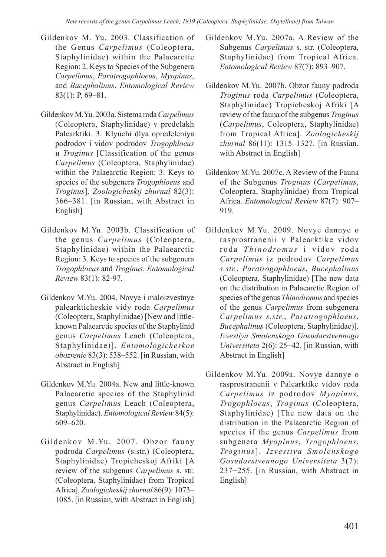- Gildenkov M. Yu. 2003. Classification of the Genus *Carpelimus* (Coleoptera, Staphylinidae) within the Palaearctic Region: 2. Keys to Species of the Subgenera *Carpelimus*, *Paratrogophloeus*, *Myopinus*, and *Bucephalinus*. *Entomological Review* 83(1): P. 69–81.
- Gildenkov M.Yu. 2003a. Sistema roda *Carpelimus* (Coleoptera, Staphylinidae) v predelakh Palearktiki. 3. Klyuchi dlya opredeleniya podrodov i vidov podrodov *Trogophloeus* и *Troginus* [Classification of the genus *Carpelimus* (Coleoptera, Staphylinidae) within the Palaearctic Region: 3. Keys to species of the subgenera *Trogophloeus* and *Troginus*]. *Zoologicheskij zhurnal* 82(3): 366–381. [in Russian, with Abstract in English]
- Gildenkov M.Yu. 2003b. Classification of the genus *Carpelimus* (Coleoptera, Staphylinidae) within the Palaearctic Region: 3. Keys to species of the subgenera *Trogophloeus* and *Troginus*. *Entomological Review* 83(1): 82-97.
- Gildenkov M.Yu. 2004. Novye i maloizvestnye palearkticheskie vidy roda *Carpelimus* (Coleoptera, Staphylinidae) [New and littleknown Palaearctic species of the Staphylinid genus *Carpelimus* Leach (Coleoptera, Staphylinidae)]. *Entomologicheskoe obozrenie* 83(3): 538–552. [in Russian, with Abstract in English]
- Gildenkov M.Yu. 2004a. New and little-known Palaearctic species of the Staphylinid genus *Carpelimus* Leach (Coleoptera, Staphylinidae). *Entomological Review* 84(5): 609–620.
- Gildenkov M.Yu. 2007. Obzor fauny podroda *Carpelimus* (s.str.) (Coleoptera, Staphylinidae) Tropicheskoj Afriki [A review of the subgenus *Carpelimus* s. str. (Coleoptera, Staphylinidae) from Tropical Africa]. *Zoologicheskij zhurnal* 86(9): 1073– 1085. [in Russian, with Abstract in English]

Gildenkov M.Yu. 2007a. A Review of the Subgenus *Carpelimus* s. str. (Coleoptera, Staphylinidae) from Tropical Africa. *Entomological Review* 87(7): 893–907.

- Gildenkov M.Yu. 2007b. Obzor fauny podroda *Troginus* roda *Carpelimus* (Coleoptera, Staphylinidae) Tropicheskoj Afriki [A review of the fauna of the subgenus *Troginus* (*Carpelimus*, Coleoptera, Staphylinidae) from Tropical Africa]. *Zoologicheskij zhurnal* 86(11): 1315–1327. [in Russian, with Abstract in English]
- Gildenkov M.Yu. 2007c. A Review of the Fauna of the Subgenus *Troginus* (*Carpelimus*, Coleoptera, Staphylinidae) from Tropical Africa. *Entomological Review* 87(7): 907– 919.
- Gildenkov M.Yu. 2009. Novye dannye o rasprostranenii v Palearktike vidov roda *Thinodromus* i vidov roda *Carpelimus* iz podrodov *Carpelimus s.str.*, *Paratrogophloeus*, *Bucephalinus* (Coleoptera, Staphylinidae) [The new data on the distribution in Palaearctic Region of species of the genus *Thinodromus* and species of the genus *Carpelimus* from subgenera *Carpelimus s.str.*, *Paratrogophloeus*, *Bucephalinus* (Coleoptera, Staphylinidae)]. *Izvestiya Smolenskogo Gosudarstvennogo Universiteta* 2(6): 25−42. [in Russian, with Abstract in English]
- Gildenkov M.Yu. 2009a. Novye dannye o rasprostranenii v Palearktike vidov roda *Carpelimus* iz podrodov *Myopinus*, *Trogophloeus*, *Troginus* (Coleoptera, Staphylinidae) [The new data on the distribution in the Palaearctic Region of species if the genus *Carpelimus* from subgenera *Myopinus*, *Trogophloeus*, *Troginus*]. *Izvestiya Smolenskogo Gosudarstvennogo Universiteta* 3(7): 237−255. [in Russian, with Abstract in English]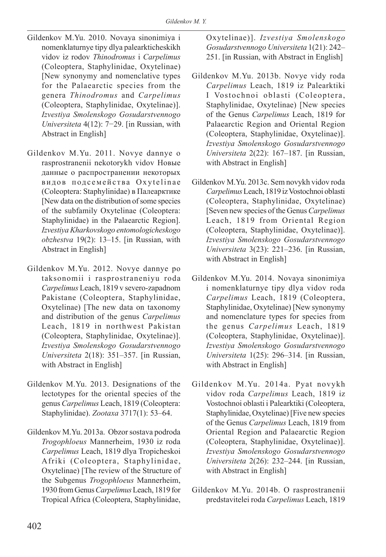- Gildenkov M.Yu. 2010. Novaya sinonimiya i nomenklaturnye tipy dlya palearkticheskikh vidov iz rodov *Thinodromus* i *Carpelimus* (Coleoptera, Staphylinidae, Oxytelinae) [New synonymy and nomenclative types for the Palaearctic species from the genera *Thinodromus* and *Carpelimus* (Coleoptera, Staphylinidae, Oxytelinae)]. *Izvestiya Smolenskogo Gosudarstvennogo Universiteta* 4(12): 7−29. [in Russian, with Abstract in English]
- Gildenkov M.Yu. 2011. Novye dannye o rasprostranenii nekotorykh vidov Новые данные о распространении некоторых видов подсемейства Oxytelinae (Coleoptera: Staphylinidae) в Палеарктике [New data on the distribution of some species of the subfamily Oxytelinae (Coleoptera: Staphylinidae) in the Palaearctic Region]. *Izvestiya Kharkovskogo entomologicheskogo obzhestva* 19(2): 13–15. [in Russian, with Abstract in English]
- Gildenkov M.Yu. 2012. Novye dannye po taksonomii i rasprostraneniyu roda *Carpelimus* Leach, 1819 v severo-zapadnom Pakistane (Coleoptera, Staphylinidae, Oxytelinae) [The new data on taxonomy and distribution of the genus *Carpelimus* Leach, 1819 in northwest Pakistan (Coleoptera, Staphylinidae, Oxytelinae)]. *Izvestiya Smolenskogo Gosudarstvennogo Universiteta* 2(18): 351–357. [in Russian, with Abstract in English]
- Gildenkov M.Yu. 2013. Designations of the lectotypes for the oriental species of the genus *Carpelimus* Leach, 1819 (Coleoptera: Staphylinidae). *Zootaxa* 3717(1): 53–64.
- Gildenkov M.Yu. 2013a. Obzor sostava podroda *Trogophloeus* Mannerheim, 1930 iz roda *Carpelimus* Leach, 1819 dlya Tropicheskoi Afriki (Coleoptera, Staphylinidae, Oxytelinae) [The review of the Structure of the Subgenus *Trogophloeus* Mannerheim, 1930 from Genus *Carpelimus* Leach, 1819 for Tropical Africa (Coleoptera, Staphylinidae,

Oxytelinae)]. *Izvestiya Smolenskogo Gosudarstvennogo Universiteta* 1(21): 242– 251. [in Russian, with Abstract in English]

- Gildenkov M.Yu. 2013b. Novye vidy roda *Carpelimus* Leach, 1819 iz Palearktiki I Vostochnoi oblasti (Coleoptera, Staphylinidae, Oxytelinae) [New species of the Genus *Carpelimus* Leach, 1819 for Palaearctic Region and Oriental Region (Coleoptera, Staphylinidae, Oxytelinae)]. *Izvestiya Smolenskogo Gosudarstvennogo Universiteta* 2(22): 167–187. [in Russian, with Abstract in English]
- Gildenkov M.Yu. 2013c. Sem novykh vidov roda *Carpelimus* Leach, 1819 iz Vostochnoi oblasti (Coleoptera, Staphylinidae, Oxytelinae) [Seven new species of the Genus *Carpelimus* Leach, 1819 from Oriental Region (Coleoptera, Staphylinidae, Oxytelinae)]. *Izvestiya Smolenskogo Gosudarstvennogo Universiteta* 3(23): 221–236. [in Russian, with Abstract in English]
- Gildenkov M.Yu. 2014. Novaya sinonimiya i nomenklaturnye tipy dlya vidov roda *Carpelimus* Leach, 1819 (Coleoptera, Staphylinidae, Oxytelinae) [New synonymy and nomenclature types for species from the genus *Carpelimus* Leach, 1819 (Coleoptera, Staphylinidae, Oxytelinae)]. *Izvestiya Smolenskogo Gosudarstvennogo Universiteta* 1(25): 296–314. [in Russian, with Abstract in English]
- Gildenkov M.Yu. 2014a. Pyat novykh vidov roda *Carpelimus* Leach, 1819 iz Vostochnoi oblasti i Palearktiki (Coleoptera, Staphylinidae, Oxytelinae) [Five new species of the Genus *Carpelimus* Leach, 1819 from Oriental Region and Palaearctic Region (Coleoptera, Staphylinidae, Oxytelinae)]. *Izvestiya Smolenskogo Gosudarstvennogo Universiteta* 2(26): 232–244. [in Russian, with Abstract in English]
- Gildenkov M.Yu. 2014b. O rasprostranenii predstavitelei roda *Carpelimus* Leach, 1819